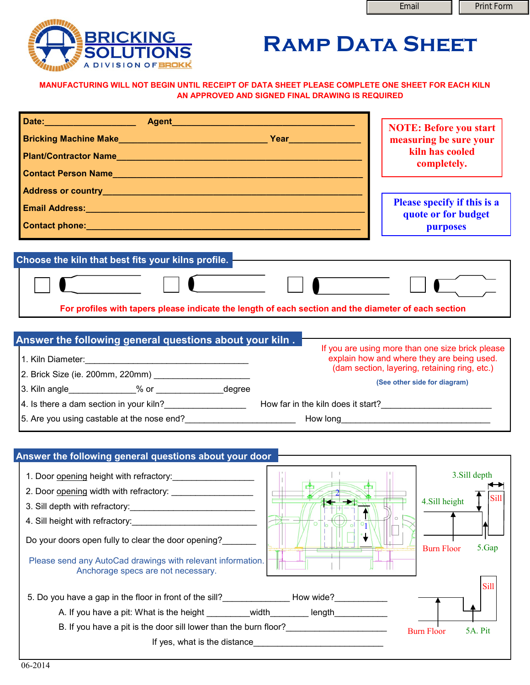

## **RAMP DATA SHEET**

**MANUFACTURING WILL NOT BEGIN UNTIL RECEIPT OF DATA SHEET PLEASE COMPLETE ONE SHEET FOR EACH KILN AN APPROVED AND SIGNED FINAL DRAWING IS REQUIRED**

|                                                                                                                                                                                                                                                                                                                                                                                                                          | <b>NOTE: Before you start</b><br>measuring be sure your<br>kiln has cooled<br>completely.                                                                                       |
|--------------------------------------------------------------------------------------------------------------------------------------------------------------------------------------------------------------------------------------------------------------------------------------------------------------------------------------------------------------------------------------------------------------------------|---------------------------------------------------------------------------------------------------------------------------------------------------------------------------------|
| Email Address: No. 2008. The Contract of the Contract of the Contract of the Contract of the Contract of the C                                                                                                                                                                                                                                                                                                           | <b>Please specify if this is a</b><br>quote or for budget<br><b>purposes</b>                                                                                                    |
| Choose the kiln that best fits your kilns profile.                                                                                                                                                                                                                                                                                                                                                                       |                                                                                                                                                                                 |
| For profiles with tapers please indicate the length of each section and the diameter of each section                                                                                                                                                                                                                                                                                                                     |                                                                                                                                                                                 |
| Answer the following general questions about your kiln.<br>4. Is there a dam section in your kiln?<br>Low far in the kiln does it start?<br>Low far in the kiln does it start?<br>5. Are you using castable at the nose end?<br><u> Letting and the second of the second of the second of the second of the second of the second of the second of the second of the second of the second of the second of the second</u> | If you are using more than one size brick please<br>explain how and where they are being used.<br>(dam section, layering, retaining ring, etc.)<br>(See other side for diagram) |
| Answer the following general questions about your door                                                                                                                                                                                                                                                                                                                                                                   |                                                                                                                                                                                 |
| 1. Door opening height with refractory:<br>3. Sill depth with refractory:<br><u> 1989 - Johann Harry Harry Harry Harry Harry Harry Harry Harry Harry Harry Harry Harry Harry Harry Harry Harry</u><br>4. Sill height with refractory:<br>Do your doors open fully to clear the door opening?<br>Please send any AutoCad drawings with relevant information.<br>Anchorage specs are not necessary.                        | 3.Sill depth<br>4.Sill height<br>5.Gap<br><b>Burn Floor</b><br>Sill                                                                                                             |
| 5. Do you have a gap in the floor in front of the sill? How wide?<br>A. If you have a pit: What is the height _________width_________ length_________                                                                                                                                                                                                                                                                    |                                                                                                                                                                                 |
| B. If you have a pit is the door sill lower than the burn floor?_______________________                                                                                                                                                                                                                                                                                                                                  | 5A. Pit<br><b>Burn Floor</b>                                                                                                                                                    |